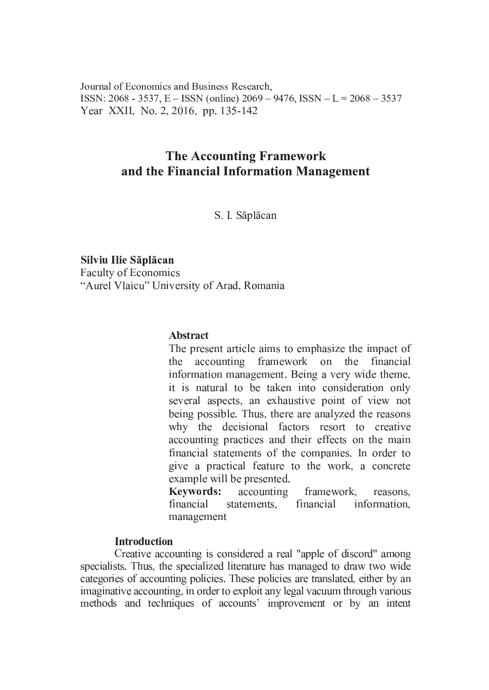Journal of Economics and Business Research. ISSN: 2068 - 3537, E – ISSN (online)  $2069 - 9476$ , ISSN – L =  $2068 - 3537$ Year XXII, No. 2, 2016, pp. 135-142

# **The Accounting Framework** and the Financial Information Management

S. I. Săplăcan

Silviu Ilie Săplăcan Faculty of Economics "Aurel Vlaicu" University of Arad, Romania

### **Abstract**

The present article aims to emphasize the impact of the accounting framework on the financial information management. Being a very wide theme, it is natural to be taken into consideration only several aspects, an exhaustive point of view not being possible. Thus, there are analyzed the reasons why the decisional factors resort to creative accounting practices and their effects on the main financial statements of the companies. In order to give a practical feature to the work, a concrete example will be presented.

**Keywords:** accounting framework, reasons. financial statements, financial information, management

#### **Introduction**

Creative accounting is considered a real "apple of discord" among specialists. Thus, the specialized literature has managed to draw two wide categories of accounting policies. These policies are translated, either by an imaginative accounting, in order to exploit any legal vacuum through various methods and techniques of accounts' improvement or by an intent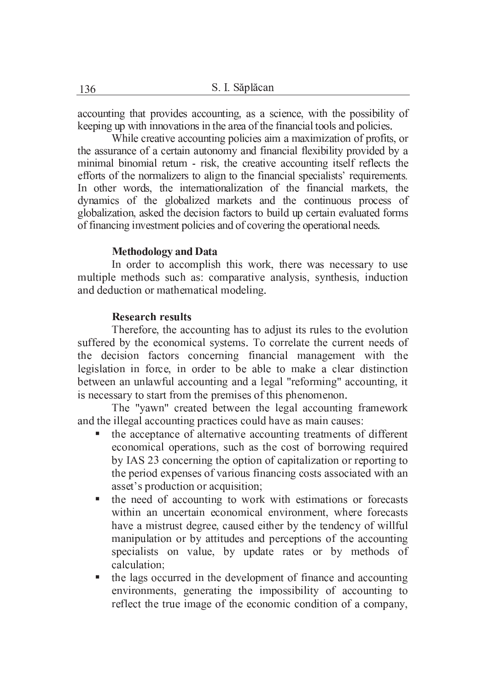accounting that provides accounting, as a science, with the possibility of keeping up with innovations in the area of the financial tools and policies.

While creative accounting policies aim a maximization of profits, or the assurance of a certain autonomy and financial flexibility provided by a minimal binomial return - risk, the creative accounting itself reflects the efforts of the normalizers to align to the financial specialists' requirements. In other words, the internationalization of the financial markets, the dynamics of the globalized markets and the continuous process of globalization, asked the decision factors to build up certain evaluated forms of financing investment policies and of covering the operational needs.

#### **Methodology and Data**

In order to accomplish this work, there was necessary to use multiple methods such as: comparative analysis, synthesis, induction and deduction or mathematical modeling.

## **Research results**

Therefore, the accounting has to adjust its rules to the evolution suffered by the economical systems. To correlate the current needs of the decision factors concerning financial management with the legislation in force, in order to be able to make a clear distinction between an unlawful accounting and a legal "reforming" accounting, it is necessary to start from the premises of this phenomenon.

The "yawn" created between the legal accounting framework and the illegal accounting practices could have as main causes:

- the acceptance of alternative accounting treatments of different economical operations, such as the cost of borrowing required by IAS 23 concerning the option of capitalization or reporting to the period expenses of various financing costs associated with an asset's production or acquisition;
- the need of accounting to work with estimations or forecasts within an uncertain economical environment, where forecasts have a mistrust degree, caused either by the tendency of willful manipulation or by attitudes and perceptions of the accounting specialists on value, by update rates or by methods of calculation:
- the lags occurred in the development of finance and accounting environments, generating the impossibility of accounting to reflect the true image of the economic condition of a company,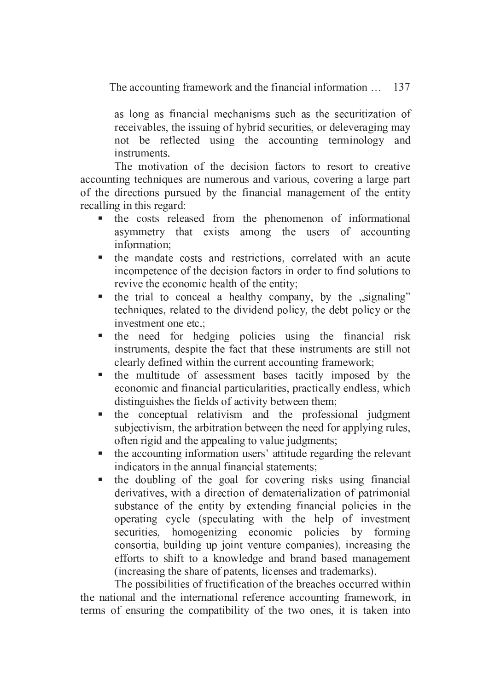as long as financial mechanisms such as the securitization of receivables, the issuing of hybrid securities, or deleveraging may not be reflected using the accounting terminology and instruments.

The motivation of the decision factors to resort to creative accounting techniques are numerous and various, covering a large part of the directions pursued by the financial management of the entity recalling in this regard:

- a, the costs released from the phenomenon of informational asymmetry that exists among the users of accounting information:
- the mandate costs and restrictions, correlated with an acute incompetence of the decision factors in order to find solutions to revive the economic health of the entity;
- the trial to conceal a healthy company, by the "signaling" techniques, related to the dividend policy, the debt policy or the investment one etc.:
- the need for hedging policies using the financial risk instruments, despite the fact that these instruments are still not clearly defined within the current accounting framework;
- the multitude of assessment bases tacitly imposed by the a. economic and financial particularities, practically endless, which distinguishes the fields of activity between them;
- the conceptual relativism and the professional judgment subjectivism, the arbitration between the need for applying rules, often rigid and the appealing to value judgments;
- the accounting information users' attitude regarding the relevant indicators in the annual financial statements:
- the doubling of the goal for covering risks using financial a. derivatives, with a direction of dematerialization of patrimonial substance of the entity by extending financial policies in the operating cycle (speculating with the help of investment securities, homogenizing economic policies by forming consortia, building up joint venture companies), increasing the efforts to shift to a knowledge and brand based management (increasing the share of patents, licenses and trademarks).

The possibilities of fructification of the breaches occurred within the national and the international reference accounting framework, in terms of ensuring the compatibility of the two ones, it is taken into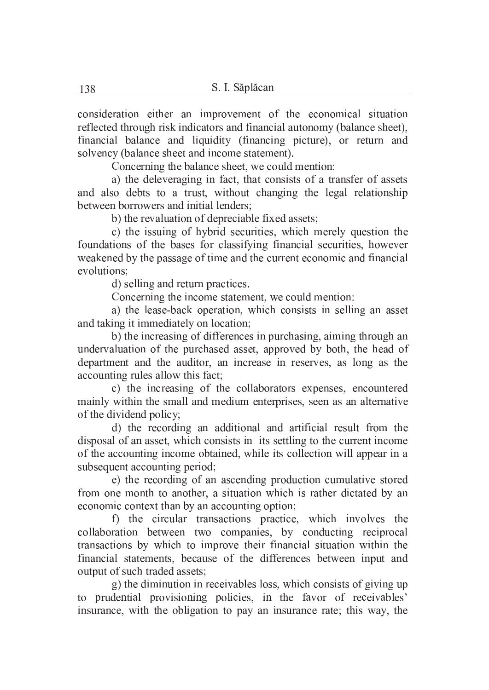consideration either an improvement of the economical situation reflected through risk indicators and financial autonomy (balance sheet), financial balance and liquidity (financing picture), or return and solvency (balance sheet and income statement).

Concerning the balance sheet, we could mention:

a) the deleveraging in fact, that consists of a transfer of assets and also debts to a trust, without changing the legal relationship between borrowers and initial lenders:

b) the revaluation of depreciable fixed assets;

c) the issuing of hybrid securities, which merely question the foundations of the bases for classifying financial securities, however weakened by the passage of time and the current economic and financial evolutions:

d) selling and return practices.

Concerning the income statement, we could mention:

a) the lease-back operation, which consists in selling an asset and taking it immediately on location;

b) the increasing of differences in purchasing, aiming through an undervaluation of the purchased asset, approved by both, the head of department and the auditor, an increase in reserves, as long as the accounting rules allow this fact;

c) the increasing of the collaborators expenses, encountered mainly within the small and medium enterprises, seen as an alternative of the dividend policy;

d) the recording an additional and artificial result from the disposal of an asset, which consists in its settling to the current income of the accounting income obtained, while its collection will appear in a subsequent accounting period;

e) the recording of an ascending production cumulative stored from one month to another, a situation which is rather dictated by an economic context than by an accounting option;

f) the circular transactions practice, which involves the collaboration between two companies, by conducting reciprocal transactions by which to improve their financial situation within the financial statements, because of the differences between input and output of such traded assets;

g) the diminution in receivables loss, which consists of giving up to prudential provisioning policies, in the favor of receivables' insurance, with the obligation to pay an insurance rate; this way, the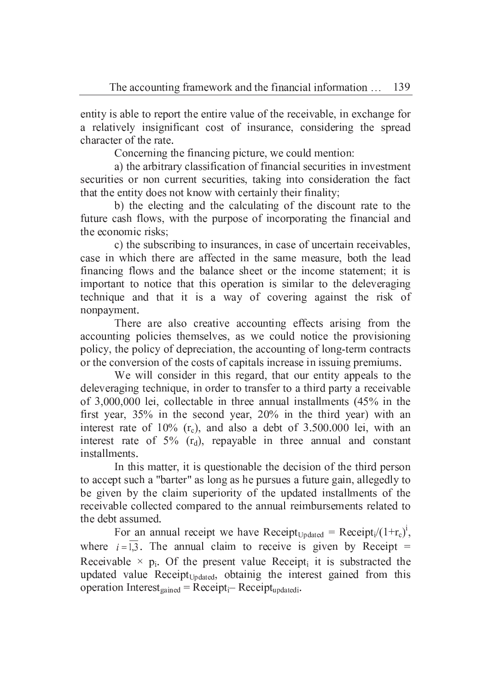entity is able to report the entire value of the receivable, in exchange for a relatively insignificant cost of insurance, considering the spread character of the rate.

Concerning the financing picture, we could mention:

a) the arbitrary classification of financial securities in investment securities or non current securities, taking into consideration the fact that the entity does not know with certainly their finality;

b) the electing and the calculating of the discount rate to the future cash flows, with the purpose of incorporating the financial and the economic risks;

c) the subscribing to insurances, in case of uncertain receivables, case in which there are affected in the same measure, both the lead financing flows and the balance sheet or the income statement; it is important to notice that this operation is similar to the deleveraging technique and that it is a way of covering against the risk of nonpayment.

There are also creative accounting effects arising from the accounting policies themselves, as we could notice the provisioning policy, the policy of depreciation, the accounting of long-term contracts or the conversion of the costs of capitals increase in issuing premiums.

We will consider in this regard, that our entity appeals to the deleveraging technique, in order to transfer to a third party a receivable of 3,000,000 lei, collectable in three annual installments (45% in the first year,  $35\%$  in the second year,  $20\%$  in the third year) with an interest rate of  $10\%$  (r<sub>c</sub>), and also a debt of 3.500.000 lei, with an interest rate of  $5\%$  ( $r_d$ ), repayable in three annual and constant installments.

In this matter, it is questionable the decision of the third person to accept such a "barter" as long as he pursues a future gain, allegedly to be given by the claim superiority of the updated installments of the receivable collected compared to the annual reimbursements related to the debt assumed.

For an annual receipt we have Receipt<sub>Updated</sub> = Receipt<sub>i</sub>/ $(1+r_c)^i$ , where  $i = \overline{1,3}$ . The annual claim to receive is given by Receipt = Receivable  $\times$  p<sub>i</sub>. Of the present value Receipt<sub>i</sub> it is substracted the updated value Receipt<sub>Updated</sub>, obtainig the interest gained from this operation Interest<sub>gained</sub> = Receipt<sub>i</sub> - Receipt<sub>updatedi</sub>.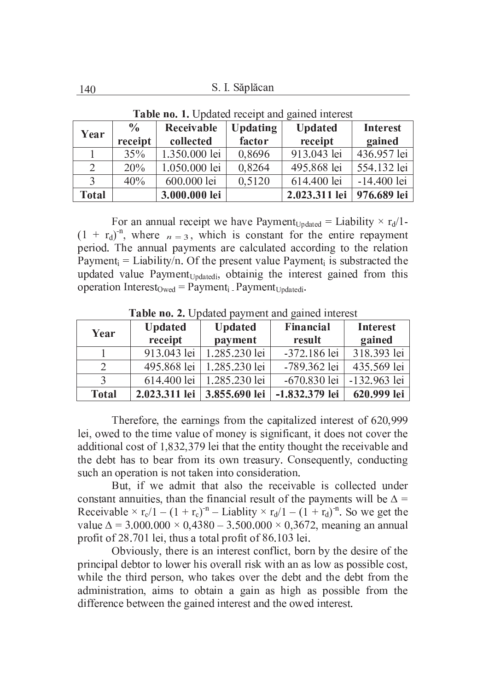| Year         | $\frac{0}{0}$ | Receivable    | <b>Updating</b> | <b>Updated</b> | <b>Interest</b> |
|--------------|---------------|---------------|-----------------|----------------|-----------------|
|              | receipt       | collected     | factor          | receipt        | gained          |
|              | 35%           | 1.350.000 lei | 0,8696          | 913.043 lei    | 436.957 lei     |
| 2            | 20%           | 1.050.000 lei | 0,8264          | 495.868 lei    | 554.132 lei     |
|              | 40%           | 600.000 lei   | 0,5120          | 614.400 lei    | $-14.400$ lei   |
| <b>Total</b> |               | 3.000.000 lei |                 | 2.023.311 lei  | 976.689 lei     |

Table no. 1. Updated receipt and gained interest

For an annual receipt we have Payment<sub>Undated</sub> = Liability  $\times r_d/1$ - $(1 + r_d)^{-n}$ , where  $n = 3$ , which is constant for the entire repayment period. The annual payments are calculated according to the relation Payment<sub>i</sub> = Liability/n. Of the present value Payment<sub>i</sub> is substracted the updated value Payment<sub>Updatedi</sub>, obtainig the interest gained from this operation Interest<sub>Owed</sub> = Payment<sub>i</sub> Payment<sub>Updatedi</sub>.

| Year         | <b>Updated</b><br>receipt | <b>Updated</b><br>payment | Financial<br>result | <b>Interest</b><br>gained |
|--------------|---------------------------|---------------------------|---------------------|---------------------------|
|              | 913.043 lei               | 1.285.230 lei             | -372.186 lei        | 318.393 lei               |
|              | 495.868 lei               | 1.285.230 lei             | -789.362 lei        | 435.569 lei               |
|              | 614.400 lei               | 1.285.230 lei             | $-670.830$ lei      | -132,963 lei              |
| <b>Total</b> | 2.023.311 lei             | 3.855.690 lei             | -1.832.379 lei      | 620.999 lei               |

Table no. 2. Updated payment and gained interest

Therefore, the earnings from the capitalized interest of 620,999 lei, owed to the time value of money is significant, it does not cover the additional cost of 1,832,379 lei that the entity thought the receivable and the debt has to bear from its own treasury. Consequently, conducting such an operation is not taken into consideration.

But, if we admit that also the receivable is collected under constant annuities, than the financial result of the payments will be  $\Delta$  = Receivable  $\times$  r<sub>c</sub>/1 – (1 + r<sub>c</sub>)<sup>-n</sup> – Liablity  $\times$  r<sub>d</sub>/1 – (1 + r<sub>d</sub>)<sup>-n</sup>. So we get the value  $\Delta = 3.000.000 \times 0.4380 - 3.500.000 \times 0.3672$ , meaning an annual profit of 28.701 lei, thus a total profit of 86.103 lei.

Obviously, there is an interest conflict, born by the desire of the principal debtor to lower his overall risk with an as low as possible cost, while the third person, who takes over the debt and the debt from the administration, aims to obtain a gain as high as possible from the difference between the gained interest and the owed interest.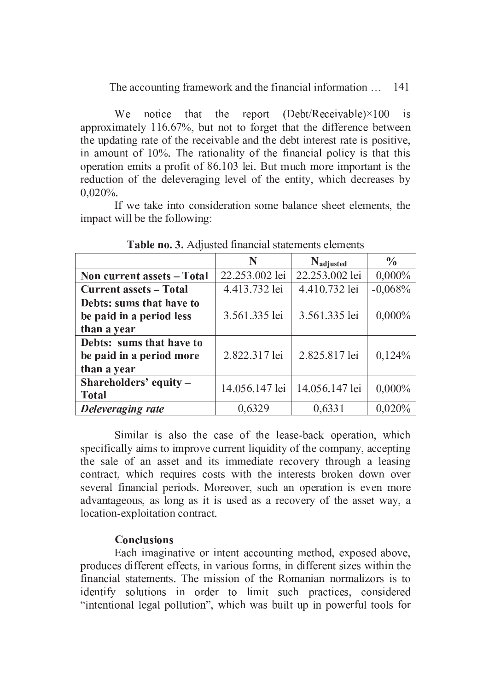We that report  $(Debt/Receivable) \times 100$ notice the  $is$ approximately 116.67%, but not to forget that the difference between the updating rate of the receivable and the debt interest rate is positive, in amount of  $10\%$ . The rationality of the financial policy is that this operation emits a profit of 86.103 lei. But much more important is the reduction of the deleveraging level of the entity, which decreases by  $0.020\%$ .

If we take into consideration some balance sheet elements, the impact will be the following:

|                               | N              | Nadjusted      | $\frac{0}{0}$ |
|-------------------------------|----------------|----------------|---------------|
| Non current assets - Total    | 22.253.002 lei | 22.253.002 lei | $0,000\%$     |
| <b>Current assets - Total</b> | 4.413.732 lei  | 4.410.732 lei  | $-0.068%$     |
| Debts: sums that have to      |                |                |               |
| be paid in a period less      | 3.561.335 lei  | 3.561.335 lei  | $0,000\%$     |
| than a year                   |                |                |               |
| Debts: sums that have to      |                |                |               |
| be paid in a period more      | 2.822.317 lei  | 2.825.817 lei  | 0,124%        |
| than a year                   |                |                |               |
| Shareholders' equity -        | 14.056.147 lei | 14.056.147 lei | $0,000\%$     |
| <b>Total</b>                  |                |                |               |
| Deleveraging rate             | 0,6329         | 0,6331         | 0,020%        |

Table no. 3. Adjusted financial statements elements

Similar is also the case of the lease-back operation, which specifically aims to improve current liquidity of the company, accepting the sale of an asset and its immediate recovery through a leasing contract, which requires costs with the interests broken down over several financial periods. Moreover, such an operation is even more advantageous, as long as it is used as a recovery of the asset way, a location-exploitation contract.

#### **Conclusions**

Each imaginative or intent accounting method, exposed above, produces different effects, in various forms, in different sizes within the financial statements. The mission of the Romanian normalizors is to identify solutions in order to limit such practices, considered "intentional legal pollution", which was built up in powerful tools for